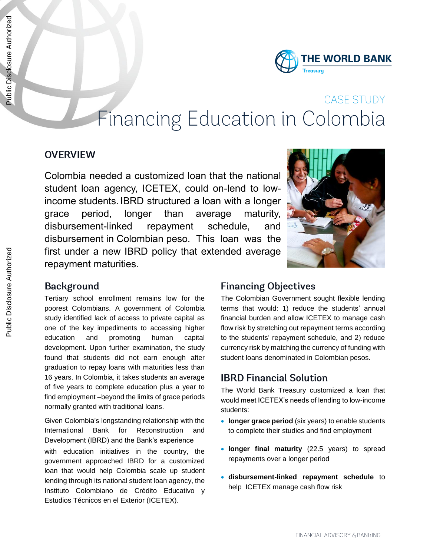

# **CASE STUDY** Financing Education in Colombia

#### **OVERVIEW**

Colombia needed a customized loan that the national student loan agency, ICETEX, could on-lend to lowincome students. IBRD structured a loan with a longer grace period, longer than average maturity, disbursement-linked repayment schedule, and disbursement in Colombian peso. This loan was the first under a new IBRD policy that extended average repayment maturities.



#### **Background**

Tertiary school enrollment remains low for the poorest Colombians. A government of Colombia study identified lack of access to private capital as one of the key impediments to accessing higher education and promoting human capital development. Upon further examination, the study found that students did not earn enough after graduation to repay loans with maturities less than 16 years. In Colombia, it takes students an average of five years to complete education plus a year to find employment –beyond the limits of grace periods normally granted with traditional loans.

Given Colombia's longstanding relationship with the International Bank for Reconstruction and Development (IBRD) and the Bank's experience with education initiatives in the country, the government approached IBRD for a customized loan that would help Colombia scale up student lending through its national student loan agency, the Instituto Colombiano de Crédito Educativo y Estudios Técnicos en el Exterior (ICETEX).

#### **Financing Objectives**

The Colombian Government sought flexible lending terms that would: 1) reduce the students' annual financial burden and allow ICETEX to manage cash flow risk by stretching out repayment terms according to the students' repayment schedule, and 2) reduce currency risk by matching the currency of funding with student loans denominated in Colombian pesos.

### **IBRD Financial Solution**

The World Bank Treasury customized a loan that would meet ICETEX's needs of lending to low-income students:

- **.** longer grace period (six years) to enable students to complete their studies and find employment
- **longer final maturity** (22.5 years) to spread repayments over a longer period
- **disbursement-linked repayment schedule** to help ICETEX manage cash flow risk